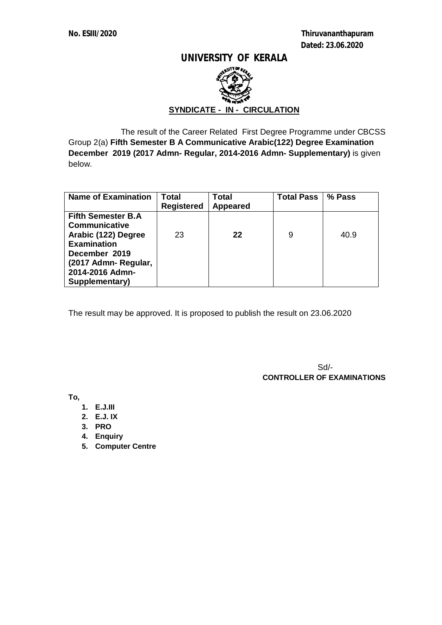**No. ESIII/2020 Thiruvananthapuram Dated: 23.06.2020** 

#### **UNIVERSITY OF KERALA**



### **SYNDICATE - IN - CIRCULATION**

 The result of the Career Related First Degree Programme under CBCSS Group 2(a) **Fifth Semester B A Communicative Arabic(122) Degree Examination December 2019 (2017 Admn- Regular, 2014-2016 Admn- Supplementary)** is given below.

| <b>Name of Examination</b> | Total             | <b>Total</b>    | <b>Total Pass</b> | % Pass |
|----------------------------|-------------------|-----------------|-------------------|--------|
|                            | <b>Registered</b> | <b>Appeared</b> |                   |        |
| <b>Fifth Semester B.A</b>  |                   |                 |                   |        |
| <b>Communicative</b>       |                   |                 |                   |        |
| Arabic (122) Degree        | 23                | 22              | 9                 | 40.9   |
| <b>Examination</b>         |                   |                 |                   |        |
| December 2019              |                   |                 |                   |        |
| (2017 Admn-Regular,        |                   |                 |                   |        |
| 2014-2016 Admn-            |                   |                 |                   |        |
| Supplementary)             |                   |                 |                   |        |

The result may be approved. It is proposed to publish the result on 23.06.2020

Sd/-  **CONTROLLER OF EXAMINATIONS**

**To,**

- **1. E.J.III**
- **2. E.J. IX**
- **3. PRO**
- **4. Enquiry**
- **5. Computer Centre**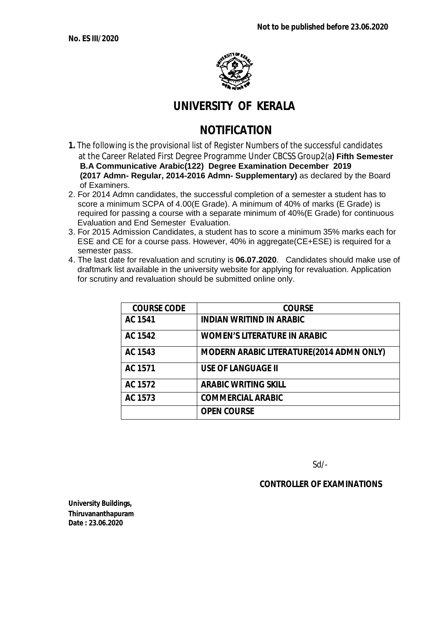

## **UNIVERSITY OF KERALA**

# **NOTIFICATION**

- **1.** The following is the provisional list of Register Numbers of the successful candidates at the Career Related First Degree Programme Under CBCSS Group2(a**) Fifth Semester B.A Communicative Arabic(122) Degree Examination December 2019 (2017 Admn- Regular, 2014-2016 Admn- Supplementary)** as declared by the Board of Examiners.
- 2. For 2014 Admn candidates, the successful completion of a semester a student has to score a minimum SCPA of 4.00(E Grade). A minimum of 40% of marks (E Grade) is required for passing a course with a separate minimum of 40%(E Grade) for continuous Evaluation and End Semester Evaluation.
- 3. For 2015 Admission Candidates, a student has to score a minimum 35% marks each for ESE and CE for a course pass. However, 40% in aggregate(CE+ESE) is required for a semester pass.
- 4. The last date for revaluation and scrutiny is **06.07.2020**. Candidates should make use of draftmark list available in the university website for applying for revaluation. Application for scrutiny and revaluation should be submitted online only.

| <b>COURSE CODE</b> | <b>COURSE</b>                                   |
|--------------------|-------------------------------------------------|
| <b>AC 1541</b>     | <b>INDIAN WRITIND IN ARABIC</b>                 |
| <b>AC 1542</b>     | <b>WOMEN'S LITERATURE IN ARABIC</b>             |
| AC 1543            | <b>MODERN ARABIC LITERATURE(2014 ADMN ONLY)</b> |
| <b>AC 1571</b>     | <b>USE OF LANGUAGE II</b>                       |
| AC 1572            | <b>ARABIC WRITING SKILL</b>                     |
| AC 1573            | <b>COMMERCIAL ARABIC</b>                        |
|                    | <b>OPEN COURSE</b>                              |

Sd/-

#### **CONTROLLER OF EXAMINATIONS**

**University Buildings, Thiruvananthapuram Date : 23.06.2020**